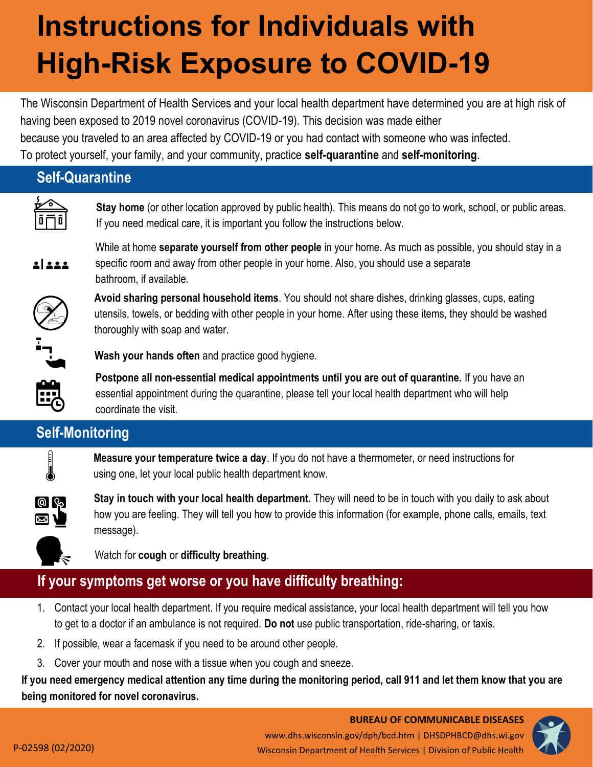# **Instructions for Individuals with High-Risk Exposure to COVID-19**

The Wisconsin Department of Health Services and your local health department have determined you are at high risk of having been exposed to 2019 novel coronavirus (COVID-19). This decision was made either because you traveled to an area affected by COVID-19 or you had contact with someone who was infected. To protect yourself, your family, and your community, practice **self-quarantine** and **self-monitoring**.

#### **Self-Quarantine**

**Stay home** (or other location approved by public health). This means do not go to work, school, or public areas. If you need medical care, it is important you follow the instructions below.



While at home **separate yourself from other people** in your home. As much as possible, you should stay in a specific room and away from other people in your home. Also, you should use a separate bathroom, if available.



**Avoid sharing personal household items**. You should not share dishes, drinking glasses, cups, eating utensils, towels, or bedding with other people in your home. After using these items, they should be washed thoroughly with soap and water.



**Wash your hands often** and practice good hygiene.

**Postpone all non-essential medical appointments until you are out of quarantine.** If you have an essential appointment during the quarantine, please tell your local health department who will help coordinate the visit.

## **Self-Monitoring**



**Measure your temperature twice a day**. If you do not have a thermometer, or need instructions for using one, let your local public health department know.



**Stay in touch with your local health department.** They will need to be in touch with you daily to ask about how you are feeling. They will tell you how to provide this information (for example, phone calls, emails, text message).



Watch for **cough** or **difficulty breathing**.

### **If your symptoms get worse or you have difficulty breathing:**

- 1. Contact your local health department. If you require medical assistance, your local health department will tell you how to get to a doctor if an ambulance is not required. **Do not** use public transportation, ride-sharing, or taxis.
- 2. If possible, wear a facemask if you need to be around other people.
- 3. Cover your mouth and nose with a tissue when you cough and sneeze.

**If you need emergency medical attention any time during the monitoring period, call 911 and let them know that you are being monitored for novel coronavirus.**